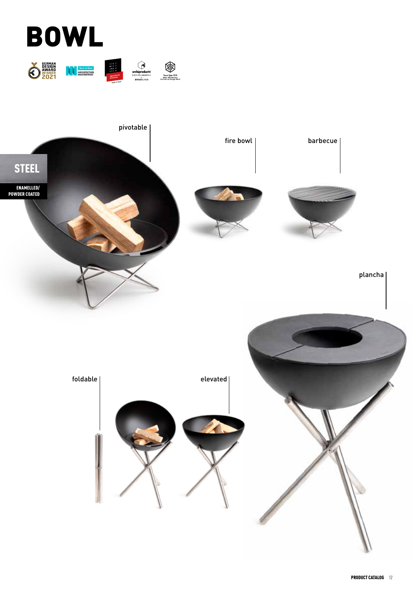